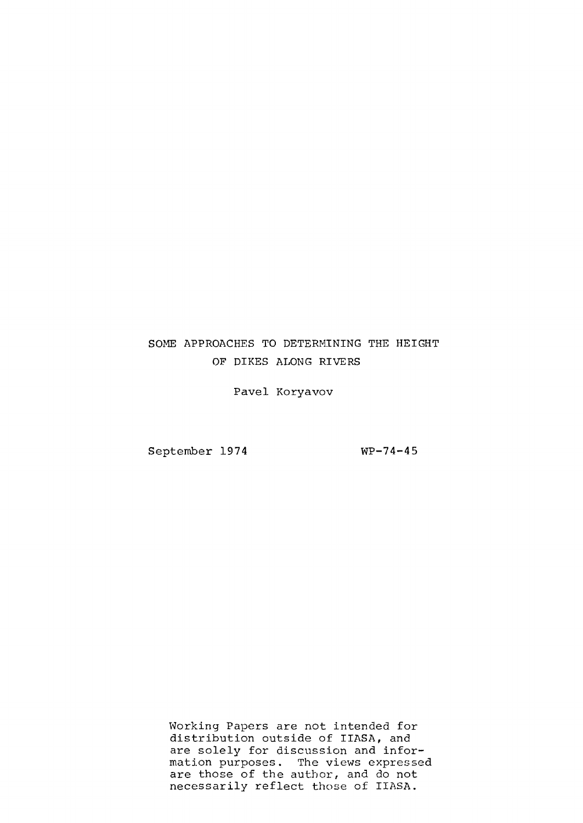## SOME APPROACHES TO DETERMINING THE HEIGHT OF DIKES ALONG RIVERS

Pavel Koryavov

September **1974 WP-74-45**

Working Papers are not intended for distribution outside of IIASA, and are solely for discussion and information purposes. The views expressed are those of the author, and do not necessarily reflect those of IIASA.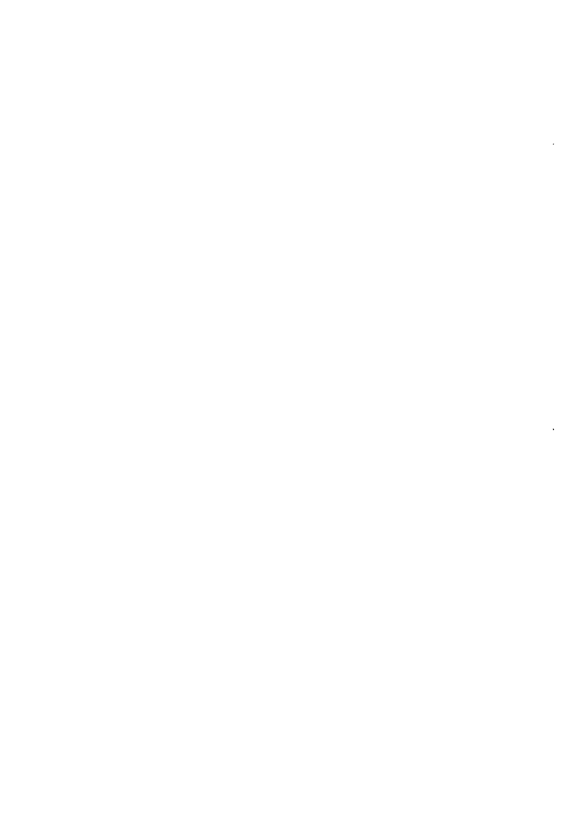$\epsilon$  $\star$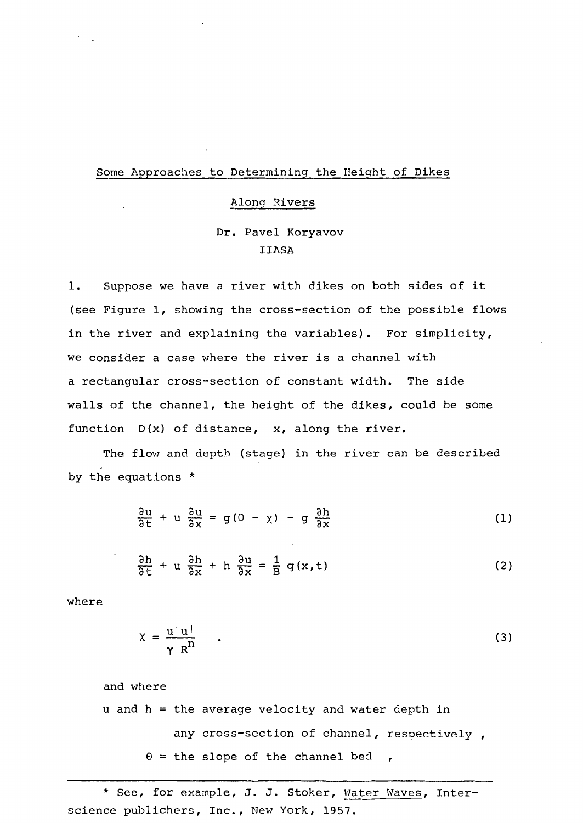## Some Approaches to Determining the Height of Dikes

## Along Rivers

## Dr. Pavel Koryavov IIASA

1. Suppose we have <sup>a</sup> river with dikes on both sides of it (see Figure 1, showing the cross-section of the possible flows in the river and explaining the variables). For simplicity, we consider <sup>a</sup> case where the river is <sup>a</sup> channel with a rectangular cross-section of constant width. The side walls of the channel, the height of the dikes, could be some function  $D(x)$  of distance,  $x$ , along the river.

The flow and depth (stage) in the river can be described by the equations \*

$$
\frac{\partial u}{\partial t} + u \frac{\partial u}{\partial x} = g(\theta - \chi) - g \frac{\partial h}{\partial x}
$$
 (1)

$$
\frac{\partial h}{\partial t} + u \frac{\partial h}{\partial x} + h \frac{\partial u}{\partial x} = \frac{1}{B} q(x, t)
$$
 (2)

where

$$
x = \frac{u|u|}{\gamma R^{n}} \qquad (3)
$$

and where u and h = the average velocity and water depth in any cross-section of channel, respectively,  $\theta$  = the slope of the channel bed

\* See, for example, J. J. Stoker, Water Waves, Interscience publichers, Inc., New York, 1957.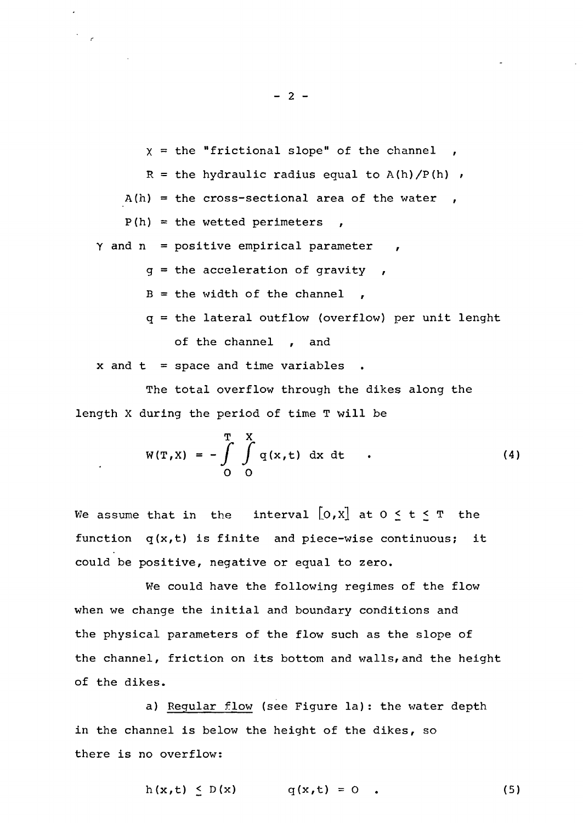$x =$  the "frictional slope" of the channel,

 $R =$  the hydraulic radius equal to A(h)/P(h),

 $A(h)$  = the cross-sectional area of the water,

 $P(h) =$  the wetted perimeters

r

 $\gamma$  and  $n =$  positive empirical parameter ,

 $q =$  the acceleration of gravity,

 $B =$  the width of the channel,

<sup>q</sup> = the lateral outflow (overflow) per unit lenght of the channel , and

 $x$  and  $t =$  space and time variables.

The total overflow through the dikes along the length X during the period of time T will be

$$
W(T,X) = -\int_{0}^{T} \int_{0}^{X} q(x,t) dx dt
$$
 (4)

We assume that in the interval  $[0, x]$  at  $0 \le t \le T$  the function  $q(x,t)$  is finite and piece-wise continuous; it could be positive, negative or equal to zero.

We could have the following regimes of the flow when we change the initial and boundary conditions and the physical parameters of the flow such as the slope of the channel, friction on its bottom and walls, and the height of the dikes.

a) Regular flow (see Figure la): the water depth in the channel is below the height of the dikes, so there is no overflow:

$$
h(x,t) \leq D(x) \qquad q(x,t) = 0 \qquad (5)
$$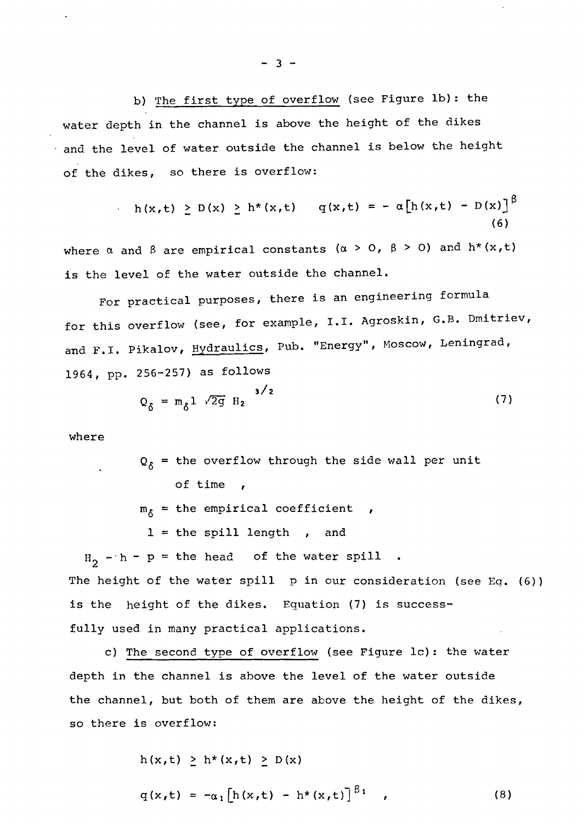b) The first type of overflow (see Figure lb): the water depth in the channel is above the height of the dikes and the level of water outside the channel is below the height of the dikes, so there is overflow:

$$
h(x,t) \ge D(x) \ge h^*(x,t) \quad q(x,t) = -\alpha [h(x,t) - D(x)]^{\beta}
$$
 (6)

where  $\alpha$  and  $\beta$  are empirical constants ( $\alpha > 0$ ,  $\beta > 0$ ) and  $h^*(x,t)$ is the level of the water outside the channel.

For practical purposes, there is an engineering formula for this overflow (see, for example, 1.1. Agroskin, G.B. Dmitriev, and F.I. Pikalov, Hydraulics, Pub. "Energy", Moscow, Leningrad, 1964, pp. 256-257) as follows

$$
Q_{\delta} = m_{\delta} 1 \sqrt{2g} H_2
$$
 (7)

where

$$
Q_{\delta}
$$
 = the overflow through the side wall per unit of time  
\n $m_{\delta}$  = the empirical coefficient  
\n $l$  = the spill length  
\n $m_{\delta}$  and

 $H_2 - h - p =$  the head of the water spill. The height of the water spill  $p$  in our consideration (see Eq. (6)) is the height of the dikes. Equation (7) is successfully used in many practical applications.

c) The second type of overflow (see Figure lc): the water depth in the channel is above the level of the water outside the channel, but both of them are above the height of the dikes, so there is overflow:

$$
h(x,t) \ge h^*(x,t) \ge D(x)
$$
  
q(x,t) = -\alpha\_1 [h(x,t) - h^\*(x,t)]<sup>\beta\_1</sup> , (8)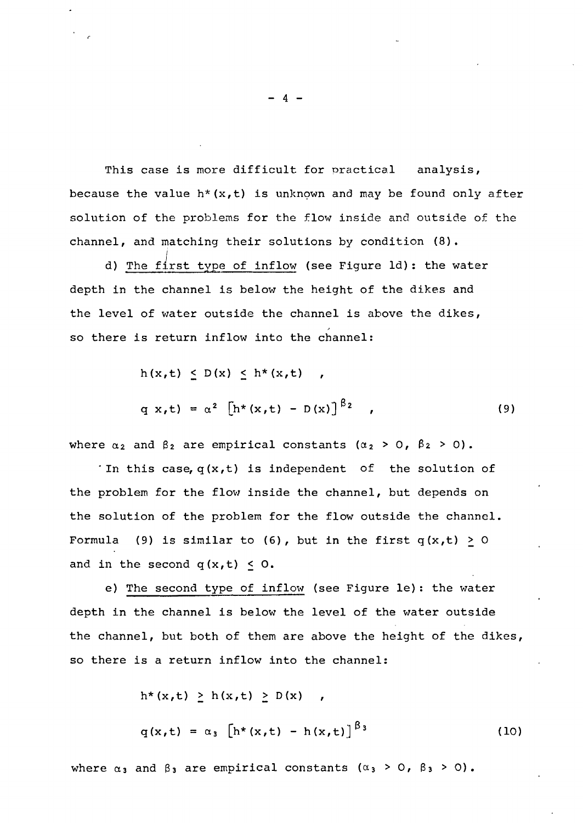This case is more difficult for practical analysis, because the value  $h^*(x,t)$  is unknown and may be found only after solution of the problems for the flow inside and outside of the channel, and matching their solutions by condition (8).

d) The first type of inflow (see Figure ld): the water depth in the channel is below the height of the dikes and the level of water outside the channel is above the dikes, , so there is return inflow into the channel:

$$
h(x,t) \le D(x) \le h^{*}(x,t)
$$
,  
\n $q(x,t) = \alpha^{2} [h^{*}(x,t) - D(x)]^{\beta_{2}}$ , (9)

where  $\alpha_2$  and  $\beta_2$  are empirical constants ( $\alpha_2 > 0$ ,  $\beta_2 > 0$ ).

'In this case,  $q(x,t)$  is independent of the solution of the problem for the flow inside the channel, but depends on the solution of the problem for the flow outside the channel. Formula (9) is similar to (6), but in the first  $q(x,t) \ge 0$ and in the second  $q(x,t) \leq 0$ .

e) The second type of inflow (see Figure Ie): the water depth in the channel is below the level of the water outside the channel, but both of them are above the height of the dikes, so there is <sup>a</sup> return inflow into the channel:

$$
h^*(x,t) \ge h(x,t) \ge D(x)
$$
  
q(x,t) =  $\alpha_3 \left[ h^*(x,t) - h(x,t) \right]^{\beta_3}$  (10)

where  $\alpha_3$  and  $\beta_3$  are empirical constants ( $\alpha_3 > 0$ ,  $\beta_3 > 0$ ).

 $\mathbf 4$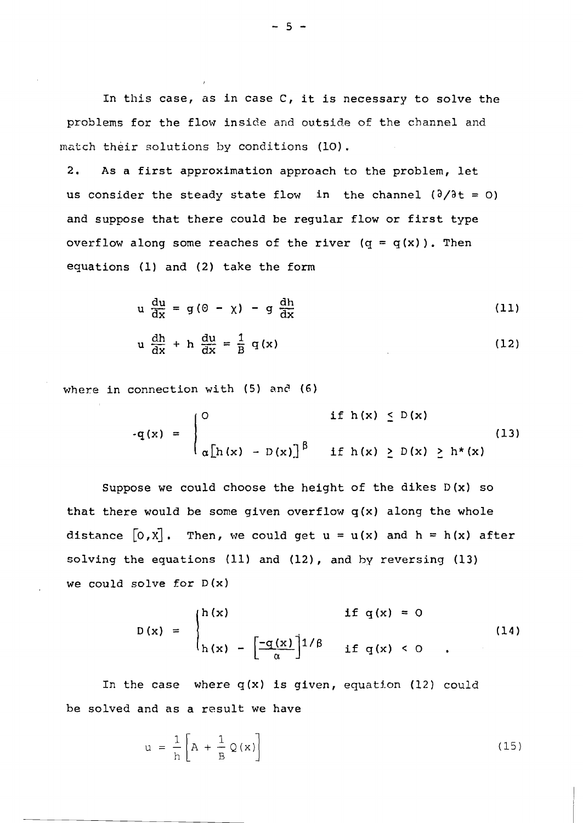In this case, as in case C, it is necessary to solve the problems for the flow inside and outside of the channel and match their solutions by conditions (10).

2. As <sup>a</sup> first approximation approach to the problem, let us consider the steady state flow in the channel  $(\partial/\partial t = 0)$ and suppose that there could be regular flow or first type overflow along some reaches of the river  $(q = q(x))$ . Then equations (1) and (2) take the form

$$
u \frac{du}{dx} = g(\theta - \chi) - g \frac{dh}{dx}
$$
 (11)

$$
u \frac{dh}{dx} + h \frac{du}{dx} = \frac{1}{B} q(x)
$$
 (12)

where in connection with (5) and (6)

$$
-q(x) = \begin{cases} 0 & \text{if } h(x) \leq D(x) \\ \alpha [h(x) - D(x)]^{\beta} & \text{if } h(x) \geq D(x) \geq h^{*}(x) \end{cases}
$$
(13)

Suppose we could choose the height of the dikes  $D(x)$  so that there would be some given overflow  $q(x)$  along the whole distance  $[0, x]$ . Then, we could get  $u = u(x)$  and  $h = h(x)$  after solving the equations (11) and (12), and by reversing (13) we could solve for  $D(x)$ 

$$
D(x) = \begin{cases} h(x) & \text{if } q(x) = 0 \\ h(x) - \left[ \frac{-q(x)}{\alpha} \right]^{1/\beta} & \text{if } q(x) < 0 \end{cases}
$$
 (14)

In the case where  $q(x)$  is given, equation (12) could be solved and as <sup>a</sup> result we have

$$
u = \frac{1}{h} \left[ A + \frac{1}{B} Q(x) \right]
$$
 (15)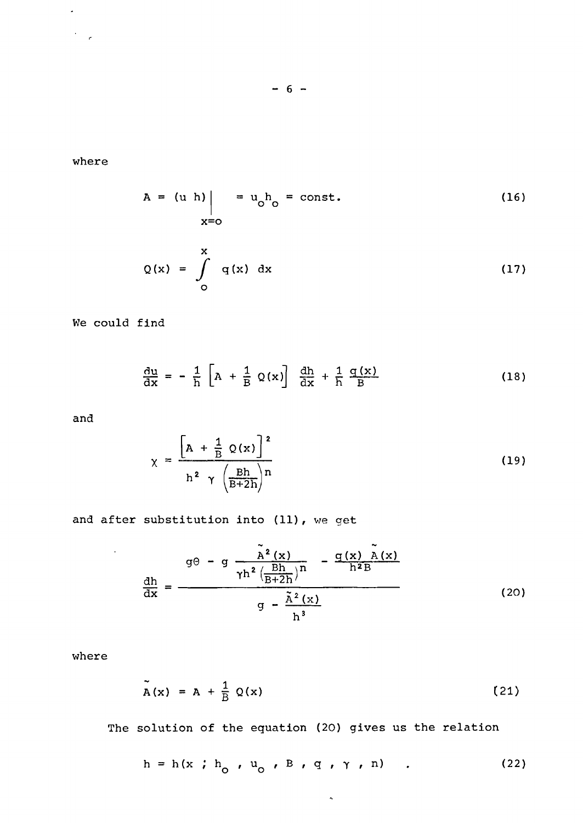where

 $\mathbf{z}^{\prime}$ 

 $\frac{1}{\sqrt{2}}\frac{1}{\sqrt{2}}$ 

$$
A = (u h) \Big|_{x=0} = u_0 h_0 = \text{const.}
$$
 (16)

$$
Q(x) = \int_{Q}^{x} q(x) dx
$$
 (17)

We could find

$$
\frac{\mathrm{du}}{\mathrm{dx}} = -\frac{1}{\mathrm{h}} \left[ A + \frac{1}{\mathrm{B}} Q(x) \right] \frac{\mathrm{dh}}{\mathrm{dx}} + \frac{1}{\mathrm{h}} \frac{q(x)}{\mathrm{B}}
$$
(18)

and

$$
\chi = \frac{\left[A + \frac{1}{B} Q(x)\right]^2}{h^2 \gamma \left(\frac{Bh}{B+2h}\right)^n}
$$
(19)

and after substitution into (11), we get

$$
\frac{dh}{dx} = \frac{g\theta - g \frac{\tilde{A}^2(x)}{\gamma h^2 \left(\frac{Bh}{B+2h}\right)^n} - \frac{g(x) \tilde{A}(x)}{h^2 B}}{g - \frac{\tilde{A}^2(x)}{h^3}}
$$
(20)

where

 $\mathcal{L}^{\text{max}}_{\text{max}}$  , where  $\mathcal{L}^{\text{max}}_{\text{max}}$ 

$$
\widetilde{A}(x) = A + \frac{1}{B} Q(x)
$$
 (21)

The solution of the equation (20) gives us the relation

$$
h = h(x \; ; \; h_0 \; , \; u_0 \; , \; B \; , \; q \; , \; \gamma \; , \; n) \quad . \tag{22}
$$

 $\ddot{\sim}$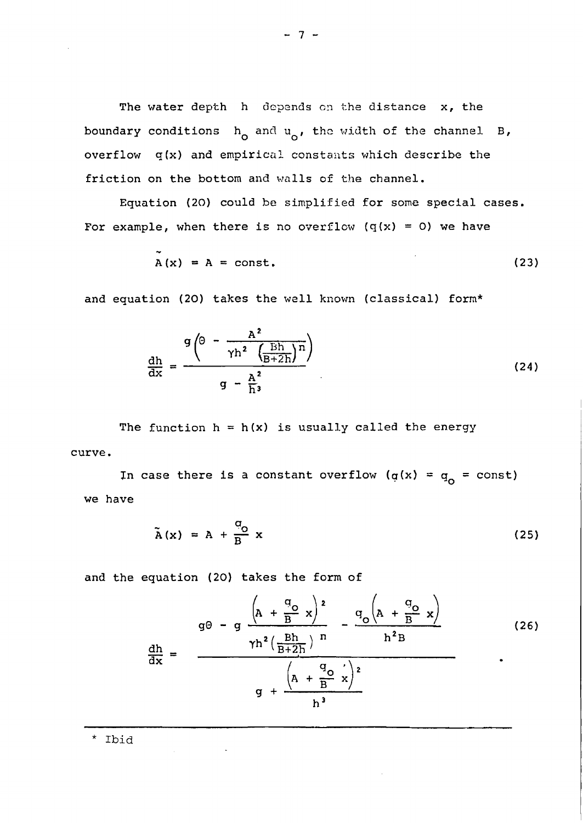The water depth h depends on the distance x, the boundary conditions  $h^{\dagger}_{\mathbf{O}}$  and  $u^{\dagger}_{\mathbf{O}}$ , the width of the channel B, overflow  $q(x)$  and empirical constants which describe the friction on the bottom and walls of the channel.

Equation (20) could be simplified for some special cases. For example, when there is no overflow  $(q(x) = 0)$  we have

$$
\tilde{A}(x) = A = const.
$$
 (23)

and equation (20) takes the well known (classical) form\*

$$
\frac{dh}{dx} = \frac{g\left(\theta - \frac{A^2}{\gamma h^2 \left(\frac{Bh}{B+2h}\right)^n}\right)}{g - \frac{A^2}{h^3}}
$$
\n(24)

The function  $h = h(x)$  is usually called the energy curve.

In case there is a constant overflow  $(q(x) = q_0 = const)$ we have

$$
\tilde{A}(x) = A + \frac{q_0}{B} x \tag{25}
$$

and the equation (20) takes the form of

$$
\frac{dh}{dx} = \frac{g\theta - g\frac{\left(A + \frac{q_0}{B}x\right)^2}{rh^2\left(\frac{Bh}{B + 2h}\right)^n} - \frac{q_0\left(A + \frac{q_0}{B}x\right)}{h^2}}{\left(A + \frac{q_0}{B}x\right)^2}
$$
(26)

\* Ibid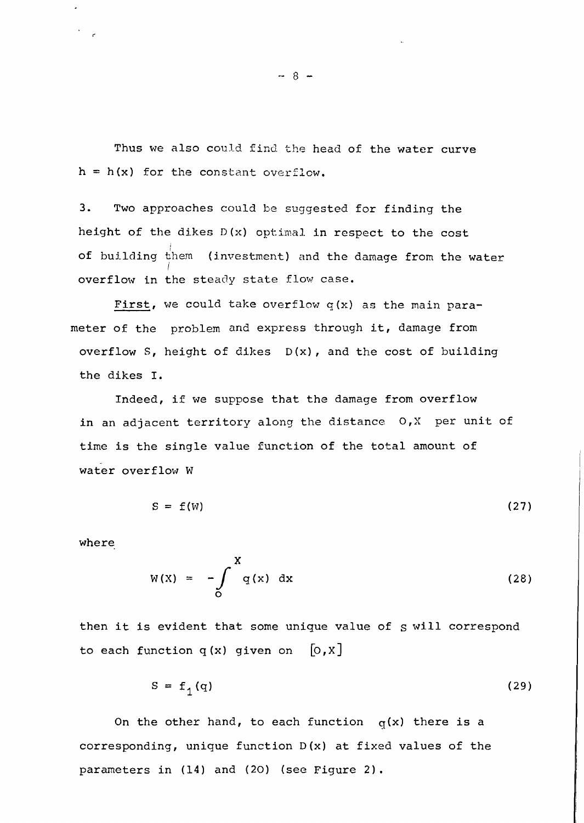Thus we also could find the head of the water curve  $h = h(x)$  for the constant overflow.

3. Two approaches could be suggested for finding the height of the dikes  $D(x)$  optimal in respect to the cost of building  $\frac{1}{1}$ hem (investment) and the damage from the water I overflow in the steady state flow case.

First, we could take overflow  $q(x)$  as the main parameter of the problem and express through it, damage from overflow S, height of dikes D(x), and the cost of building the dikes I.

Indeed, if we suppose that the damage from overflow in an adjacent territory along the distance 0,X per unit of time is the single value function of the total amount of water overflow W

$$
S = f(W) \tag{27}
$$

where

$$
W(X) = -\int_{0}^{X} q(x) dx
$$
 (28)

then it is evident that some unique value of g will correspond to each function  $q(x)$  given on  $[0, x]$ 

$$
S = f_1(q) \tag{29}
$$

On the other hand, to each function  $q(x)$  there is a corresponding, unique function D(x) at fixed values of the parameters in (14) and (20) (see Figure 2).

 $-8 -$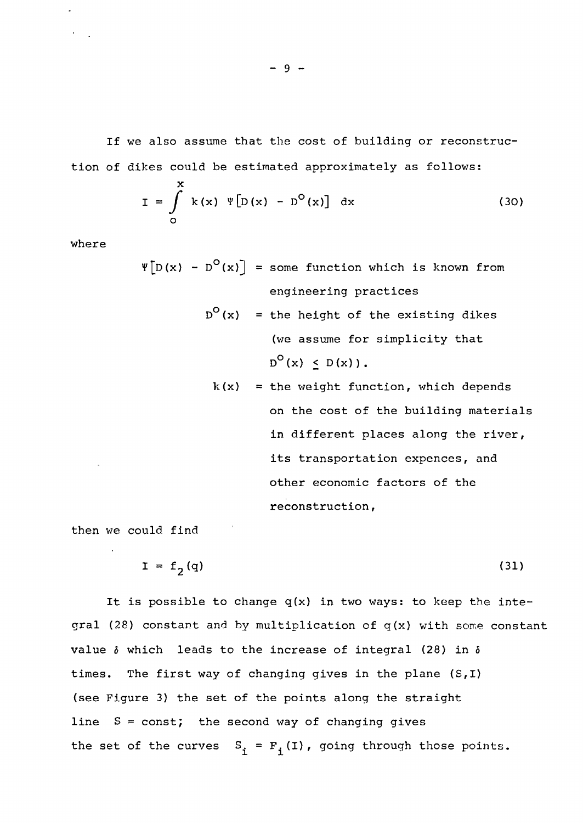If we also assume that the cost of building or reconstruction of dikes could be estimated approximately as follows:

$$
I = \int_{0}^{x} k(x) \Psi[D(x) - D^{O}(x)] dx
$$
 (30)

where

- $\Psi[D(x) D^{O}(x)] =$  some function which is known from engineering practices
	- $D^{O}(x)$  = the height of the existing dikes (we assume for simplicity that  $D^{O}(x) \le D(x)$ .

$$
k(x)
$$
 = the weight function, which depends on the cost of the building materials in different places along the river, its transportation expenses, and other economic factors of the reconstruction,

then we could find

$$
I = f_2(q) \tag{31}
$$

It is possible to change  $q(x)$  in two ways: to keep the integral (28) constant and by multiplication of  $q(x)$  with some constant value *0* which leads to the increase of integral (28) in *0* times. The first way of changing gives in the plane (S,I) (see Figure 3) the set of the points along the straight line  $S = const$ ; the second way of changing gives the set of the curves  $S_i = F_i(I)$ , going through those points.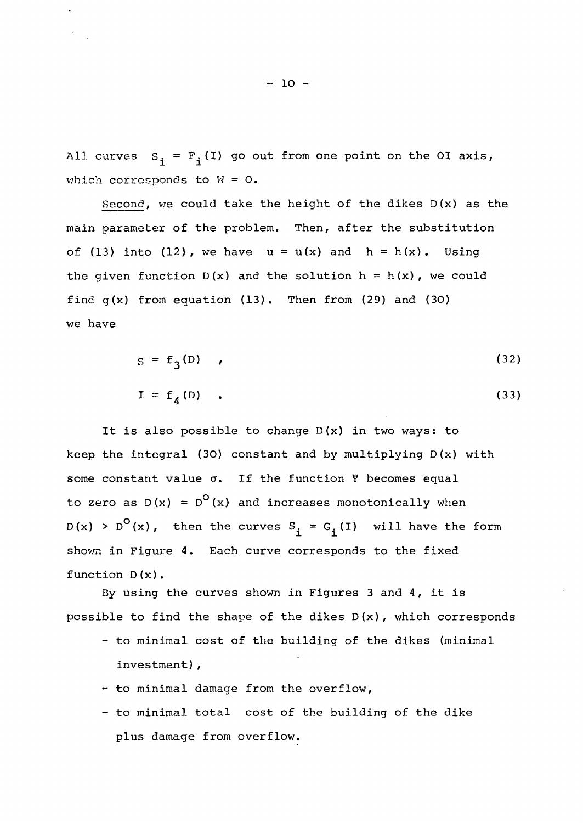All curves  $S_i = F_i(I)$  go out from one point on the OI axis, which corresponds to  $W = 0$ .

Second, we could take the height of the dikes  $D(x)$  as the main parameter of the problem. Then, after the substitution of (13) into (12), we have  $u = u(x)$  and  $h = h(x)$ . Using the given function  $D(x)$  and the solution  $h = h(x)$ , we could find  $q(x)$  from equation  $(13)$ . Then from  $(29)$  and  $(30)$ we have

$$
S = f2(D) \t\t(32)
$$

$$
I = f_{\underline{A}}(D) \qquad (33)
$$

It is also possible to change  $D(x)$  in two ways: to keep the integral (30) constant and by multiplying  $D(x)$  with some constant value  $\sigma$ . If the function  $\Psi$  becomes equal to zero as  $D(x) = D^{O}(x)$  and increases monotonically when  $D(x) > D^{O}(x)$ , then the curves  $S_i = G_i(I)$  will have the form shown in Figure 4. Each curve corresponds to the fixed function D{x).

By using the curves shown in Figures <sup>3</sup> and 4, it is possible to find the shape of the dikes  $D(x)$ , which corresponds

- to minimal cost of the building of the dikes (minimal investment) ,
- to minimal damage from the overflow,
- to minimal total cost of the building of the dike plus damage from overflow.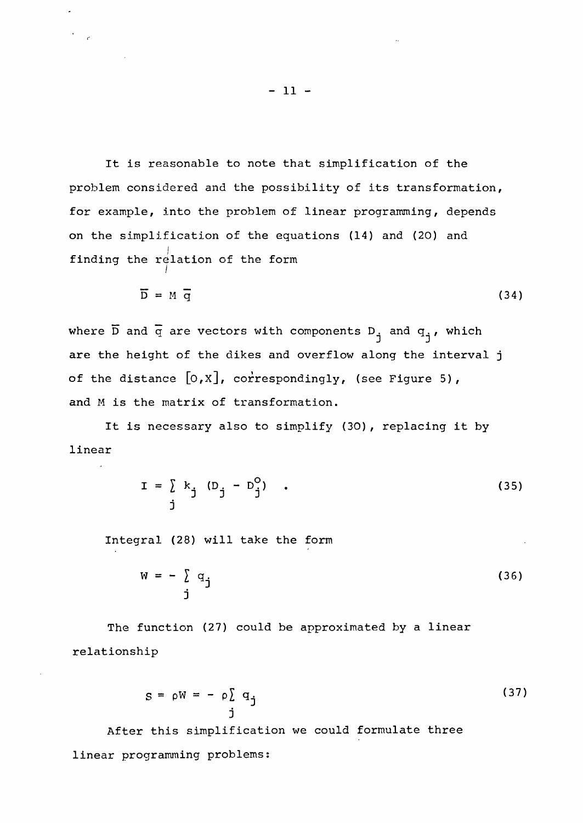It is reasonable to note that simplification of the problem considered and the possibility of its transformation, for example, into the problem of linear programming, depends on the simplification of the equations (14) and (20) and finding the r $\stackrel{|}{\text{el}}$ ation of the form I

$$
\overline{D} = M \overline{q} \tag{34}
$$

where  $\overline{D}$  and  $\overline{q}$  are vectors with components  $D_j$  and  $q_j$ , which are the height of the dikes and overflow along the interval <sup>j</sup> of the distance  $[0, x]$ , correspondingly, (see Figure 5), and <sup>M</sup> is the matrix of transformation.

It is necessary also to simplify (30), replacing it by linear

$$
I = \sum_{j} k_{j} (D_{j} - D_{j}^{O})
$$
 (35)

Integral (28) will take the form

$$
W = -\sum_{j} q_{j}
$$
 (36)

The function (27) could be approximated by <sup>a</sup> linear relationship

$$
S = \rho W = - \rho \sum_{j} q_{j}
$$
 (37)

After this simplification we could formulate three linear programming problems: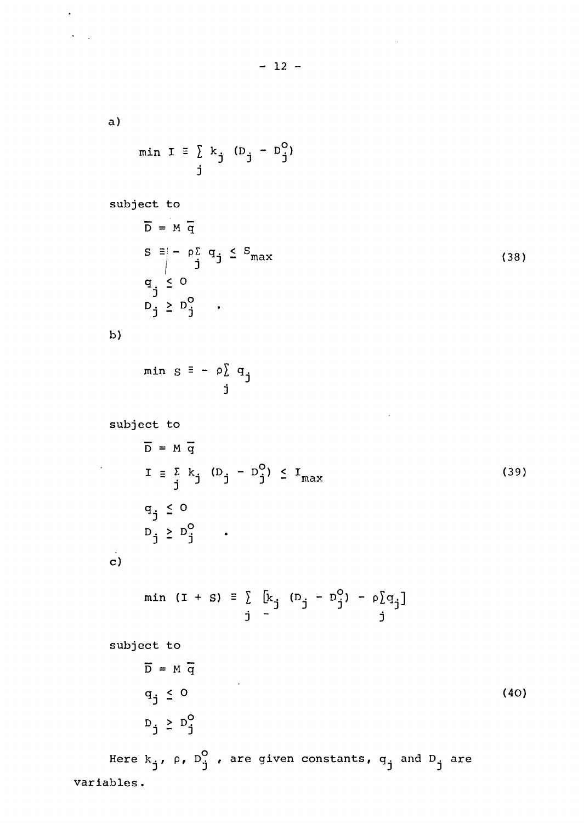a)

 $\mathcal{L}_{\text{max}}$ 

 $\mathcal{A}^{\text{max}}_{\text{max}}$ 

$$
\min_{\mathbf{j}} \mathbf{I} \equiv \begin{cases} k_{\mathbf{j}} & (\mathbf{D}_{\mathbf{j}} - \mathbf{D}_{\mathbf{j}}^{\mathbf{O}}) \\ \vdots & \vdots \end{cases}
$$

subject to

$$
\overline{D} = M \overline{q}
$$
\n
$$
S = \begin{vmatrix} -\rho \Sigma & q_j \leq S_{\text{max}} \\ 3 & \leq 0 \end{vmatrix}
$$
\n
$$
Q_j \leq Q
$$
\n
$$
D_j \geq D_j^O
$$
\n(38)

 $\mathcal{L}^{\text{max}}_{\text{max}}$ 

b)

 $\hat{\mathbf{z}}$ 

$$
\min_{S} \quad \equiv - \quad \rho \quad \quad \text{q} \quad \text{q}
$$

$$
\quad \text{subject to} \quad
$$

$$
\overline{D} = M \overline{q}
$$
  
\n
$$
I = \sum_{j} k_{j} (D_{j} - D_{j}^{O}) \leq I_{max}
$$
  
\n
$$
q_{j} \leq O
$$
  
\n
$$
D_{j} \geq D_{j}^{O}
$$
 (39)  
\n
$$
C
$$
) (39)

 $\mathcal{L}^{\text{max}}_{\text{max}}$  and  $\mathcal{L}^{\text{max}}_{\text{max}}$ 

min (I + S) = 
$$
\left[\begin{array}{cc} k_j & (D_j - D_j^0) - \rho_{1j}^0 \end{array}\right]
$$
  
j

subject to

$$
\overline{D} = M \overline{q}
$$
  
\n
$$
q_j \leq 0
$$
  
\n
$$
D_j \geq D_j^0
$$
  
\n(40)

Here  $\mathrm{k}_{\texttt{j}}$ ,  $\mathrm{\rho}$ ,  $\mathrm{\rho}^{\texttt{O}}_{\texttt{j}}$  , are given constants,  $\mathrm{q}_{\texttt{j}}$  and  $\mathrm{\rho}_{\texttt{j}}$  are variables.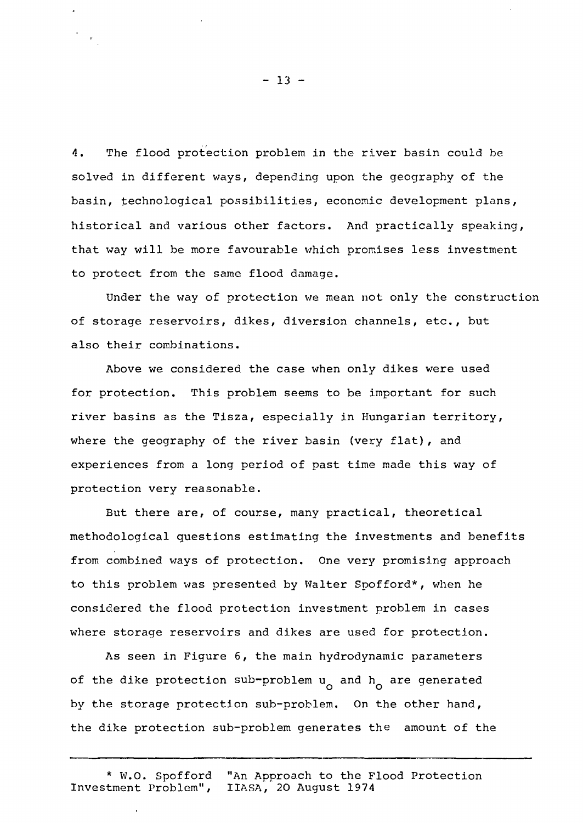., **4.** The flood protection problem in the river basin could be solved in different ways, depending upon the geography of the basin, technological possibilities, economic development plans, historical and various other factors. And practically speaking, that way will be more favourable which promises less investment to protect from the same flood damage.

Under the way of protection we mean not only the construction of storage reservoirs, dikes, diversion channels, etc., but also their combinations.

Above we considered the case when only dikes were used for protection. This problem seems to be important for such river basins as the Tisza, especially in Hungarian territory, where the geography of the river basin (very flat), and experiences from <sup>a</sup> long period of past time made this way of protection very reasonable.

But there are, of course, many practical, theoretical methodological questions estimating the investments and benefits from combined ways of protection. One very promising approach to this problem was presented by Walter Spofford\*, when he considered the flood protection investment problem in cases where storage reservoirs and dikes are used for protection.

As seen in Figure 6, the main hydrodynamic parameters of the dike protection sub-problem  $u_{\alpha}$  and  $h_{\alpha}$  are generated by the storage protection sub-problem. On the other hand, the dike protection sub-problem generates the amount of the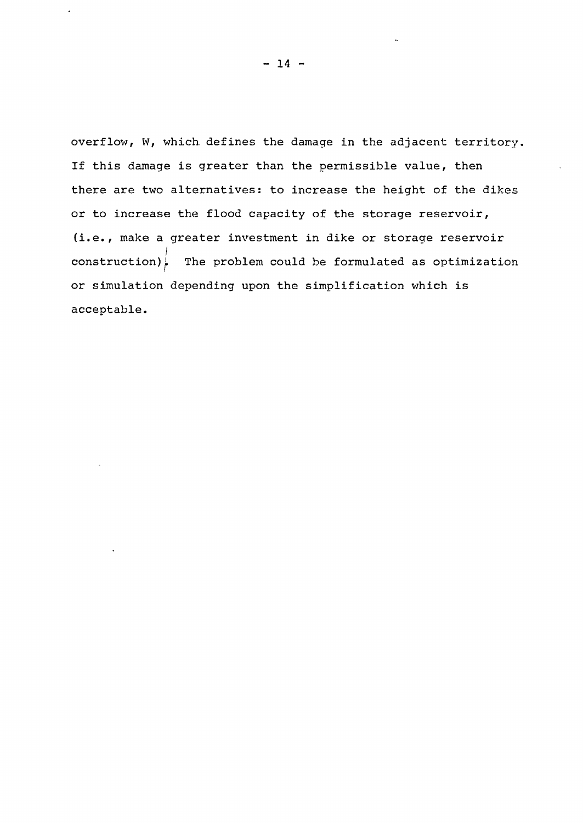overflow, W, which defines the damage in the adjacent territory. If this damage is greater than the permissible value, then there are two alternatives: to increase the height of the dikes or to increase the flood capacity of the storage reservoir, (i.e., make <sup>a</sup> greater investment in dike or storage reservoir  $\text{construction}$  The problem could be formulated as optimization or simulation depending upon the simplification which is acceptable.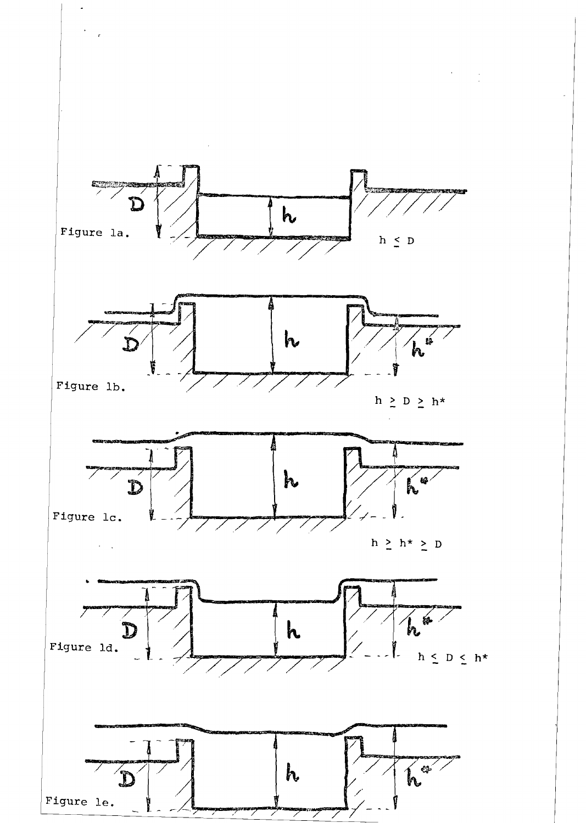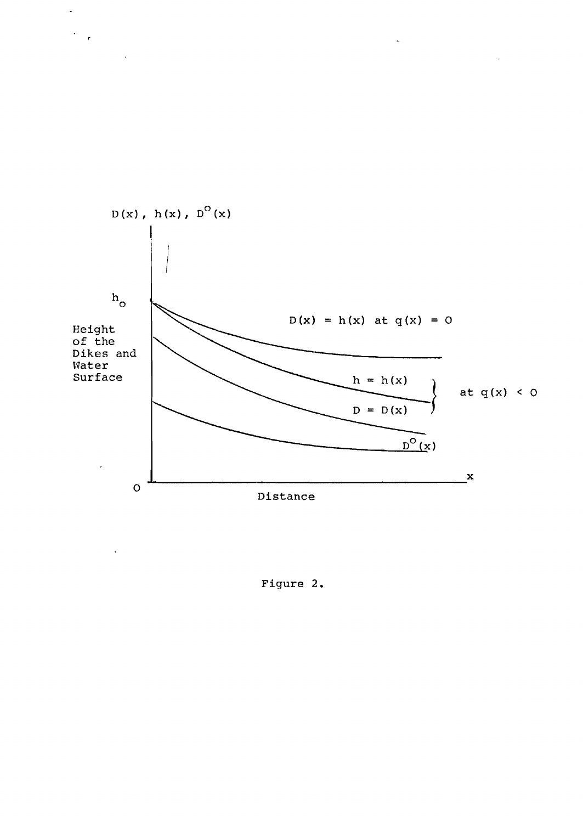

 $\hat{\phi}$ 

*r*

 $\mathcal{L}_{\mathbf{r}}$ 

 $\ddot{\phantom{0}}$ 

Figure 2.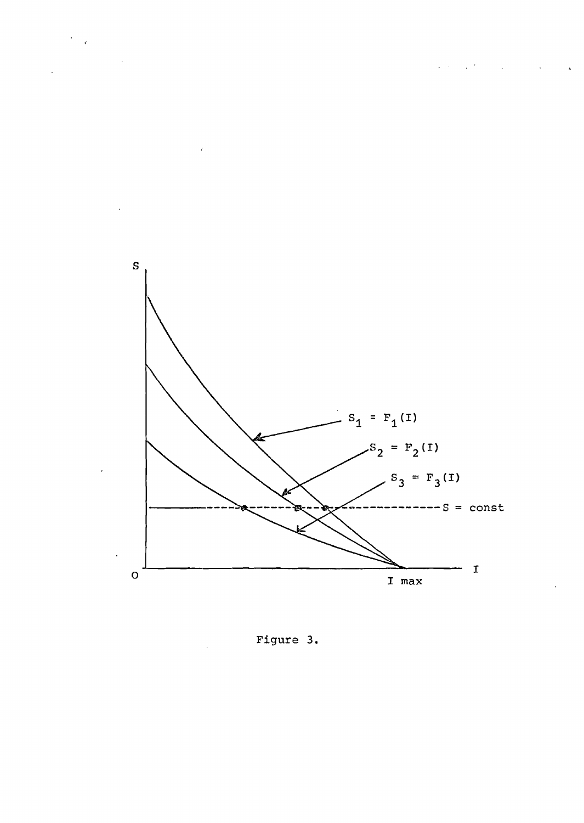

 $\frac{1}{\sqrt{2}}\int_{\mathbb{R}^2} \frac{d^2y}{\sqrt{2\pi}}\,dy$ 

 $\sim 10$ 

 $\bar{z}$ 

Figure 3.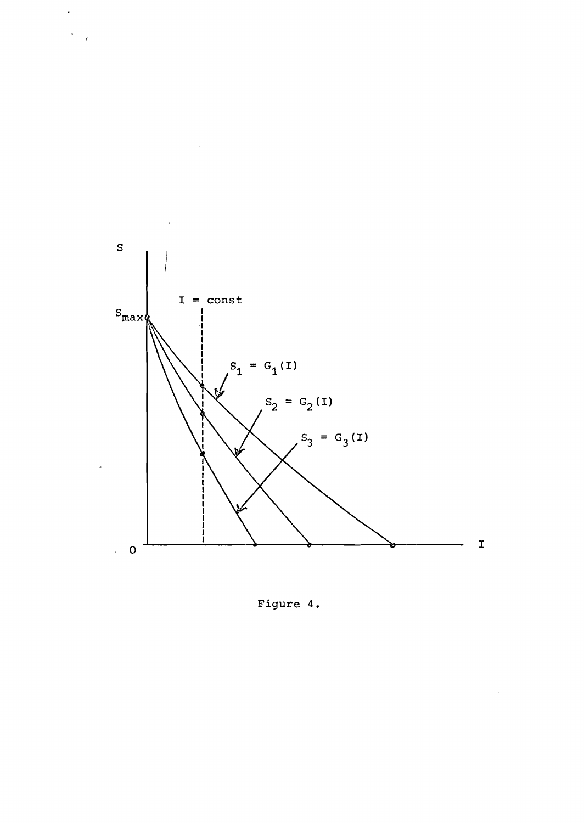

 $\hat{\mathcal{L}}$ 

 $\frac{1}{\sqrt{2}}\int_{0}^{\sqrt{2}}\frac{dx}{x}dx$ 

Figure 4.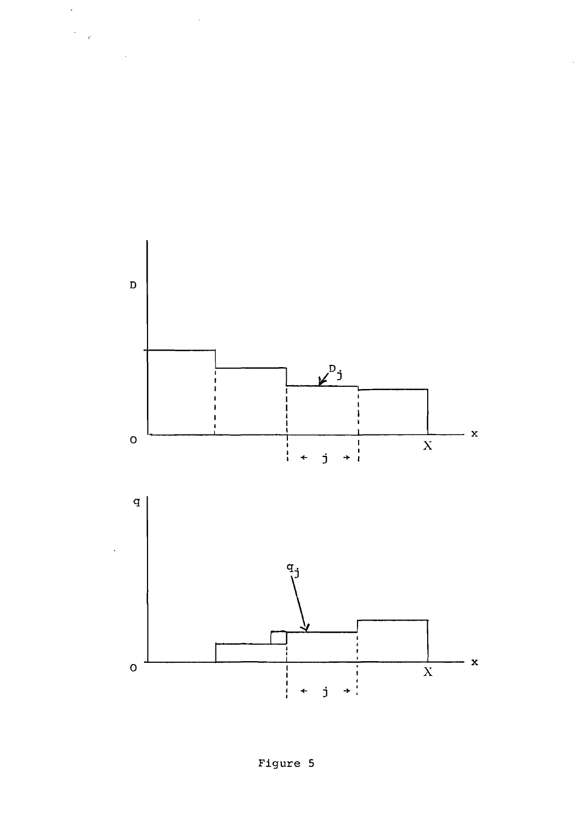

 $\ddot{\phantom{0}}$